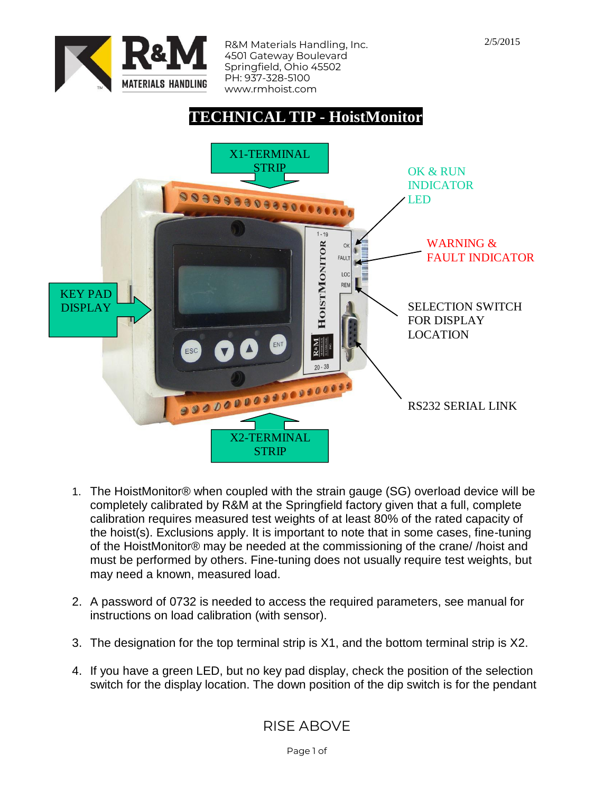

R&M Materials Handling, Inc. 4501 Gateway Boulevard Springfield, Ohio 45502 PH: 937-328-5100 www.rmhoist.com

## **TECHNICAL TIP - HoistMonitor**



- 1. The HoistMonitor® when coupled with the strain gauge (SG) overload device will be completely calibrated by R&M at the Springfield factory given that a full, complete calibration requires measured test weights of at least 80% of the rated capacity of the hoist(s). Exclusions apply. It is important to note that in some cases, fine-tuning of the HoistMonitor® may be needed at the commissioning of the crane/ /hoist and must be performed by others. Fine-tuning does not usually require test weights, but may need a known, measured load.
- 2. A password of 0732 is needed to access the required parameters, see manual for instructions on load calibration (with sensor).
- 3. The designation for the top terminal strip is X1, and the bottom terminal strip is X2.
- 4. If you have a green LED, but no key pad display, check the position of the selection switch for the display location. The down position of the dip switch is for the pendant